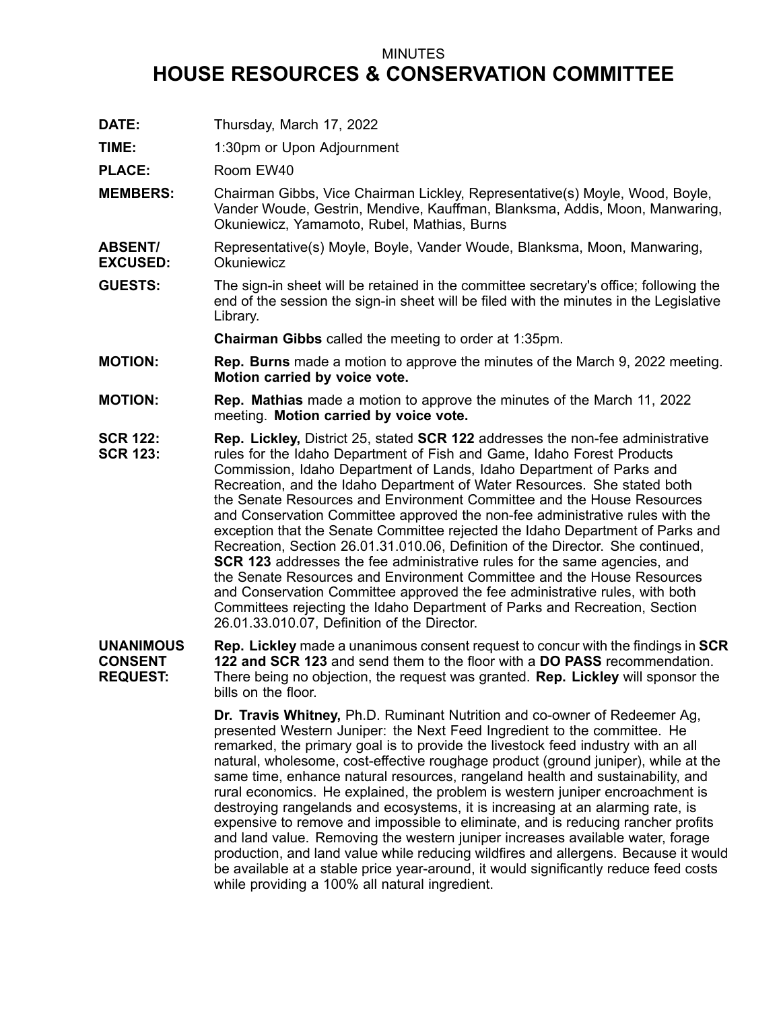## MINUTES

## **HOUSE RESOURCES & CONSERVATION COMMITTEE**

**DATE:** Thursday, March 17, 2022

**TIME:** 1:30pm or Upon Adjournment

PLACE: Room EW40

- **MEMBERS:** Chairman Gibbs, Vice Chairman Lickley, Representative(s) Moyle, Wood, Boyle, Vander Woude, Gestrin, Mendive, Kauffman, Blanksma, Addis, Moon, Manwaring, Okuniewicz, Yamamoto, Rubel, Mathias, Burns
- **ABSENT/ EXCUSED:** Representative(s) Moyle, Boyle, Vander Woude, Blanksma, Moon, Manwaring, **Okuniewicz**
- **GUESTS:** The sign-in sheet will be retained in the committee secretary's office; following the end of the session the sign-in sheet will be filed with the minutes in the Legislative Library.

**Chairman Gibbs** called the meeting to order at 1:35pm.

- **MOTION: Rep. Burns** made <sup>a</sup> motion to approve the minutes of the March 9, 2022 meeting. **Motion carried by voice vote.**
- **MOTION: Rep. Mathias** made <sup>a</sup> motion to approve the minutes of the March 11, 2022 meeting. **Motion carried by voice vote.**
- **SCR 122: SCR 123: Rep. Lickley,** District 25, stated **SCR 122** addresses the non-fee administrative rules for the Idaho Department of Fish and Game, Idaho Forest Products Commission, Idaho Department of Lands, Idaho Department of Parks and Recreation, and the Idaho Department of Water Resources. She stated both the Senate Resources and Environment Committee and the House Resources and Conservation Committee approved the non-fee administrative rules with the exception that the Senate Committee rejected the Idaho Department of Parks and Recreation, Section 26.01.31.010.06, Definition of the Director. She continued, **SCR 123** addresses the fee administrative rules for the same agencies, and the Senate Resources and Environment Committee and the House Resources and Conservation Committee approved the fee administrative rules, with both Committees rejecting the Idaho Department of Parks and Recreation, Section 26.01.33.010.07, Definition of the Director.

**UNANIMOUS CONSENT REQUEST: Rep. Lickley** made <sup>a</sup> unanimous consent request to concur with the findings in **SCR 122 and SCR 123** and send them to the floor with a **DO PASS** recommendation. There being no objection, the request was granted. **Rep. Lickley** will sponsor the bills on the floor.

> **Dr. Travis Whitney,** Ph.D. Ruminant Nutrition and co-owner of Redeemer Ag, presented Western Juniper: the Next Feed Ingredient to the committee. He remarked, the primary goal is to provide the livestock feed industry with an all natural, wholesome, cost-effective roughage product (ground juniper), while at the same time, enhance natural resources, rangeland health and sustainability, and rural economics. He explained, the problem is western juniper encroachment is destroying rangelands and ecosystems, it is increasing at an alarming rate, is expensive to remove and impossible to eliminate, and is reducing rancher profits and land value. Removing the western juniper increases available water, forage production, and land value while reducing wildfires and allergens. Because it would be available at <sup>a</sup> stable price year-around, it would significantly reduce feed costs while providing <sup>a</sup> 100% all natural ingredient.